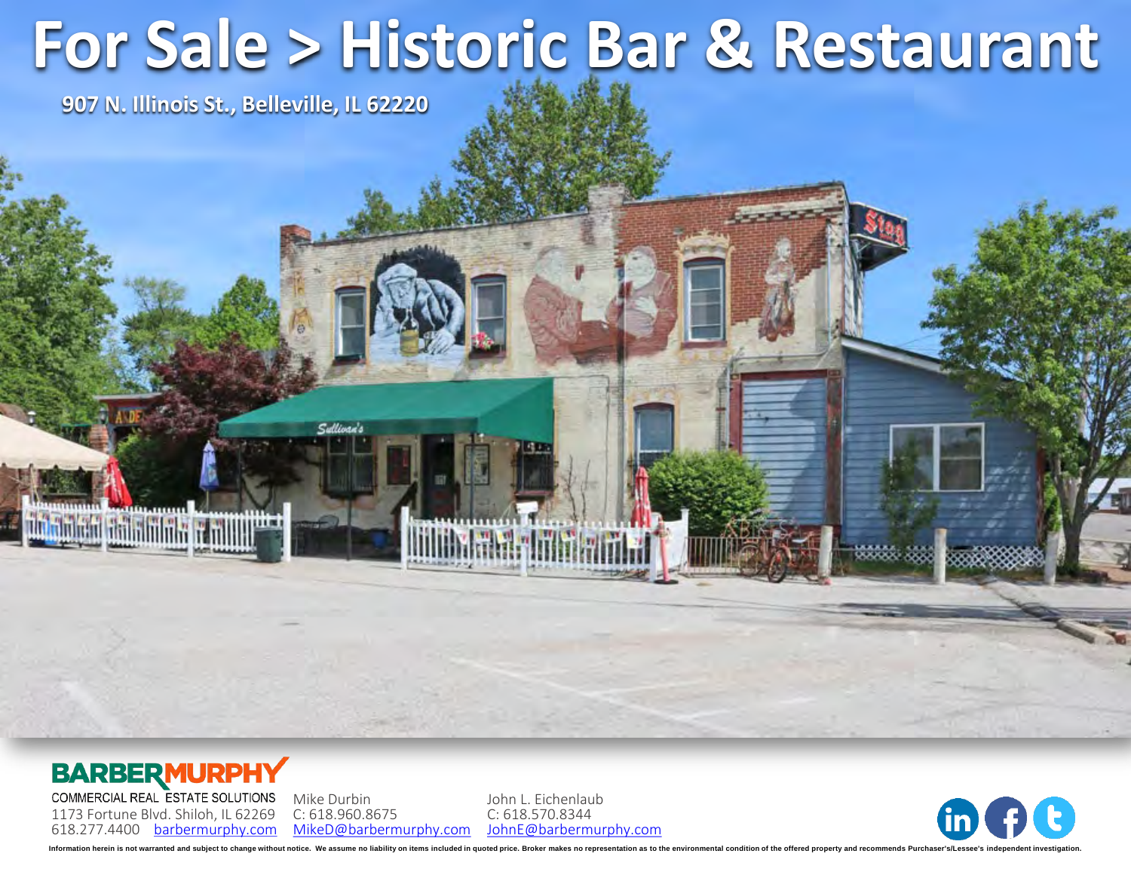# **For Sale > Historic Bar & Restaurant**

**907 N. Illinois St., Belleville, IL 62220**

#### **BARBERMURPHY**

**Thanh Finland Minimity of Millill<sup>on</sup>** 

COMMERCIAL REAL ESTATE SOLUTIONS 1173 Fortune Blvd. Shiloh, IL 62269 618.277.4400 [barbermurphy.com](http://www.barbermurphy.com)

Mike Durbin C: 618.960.8675 [MikeD@barbermurphy.com](mailto:MikeD@barbermurphy.com) John L. Eichenlaub C: 618.570.8344 [JohnE@barbermurphy.com](mailto:JohnE@barbermurphy.com)

**HINHELAND AT** 



Information herein is not warranted and subject to change without notice. We assume no liability on items included in quoted price. Broker makes no representation as to the environmental condition of the offered property a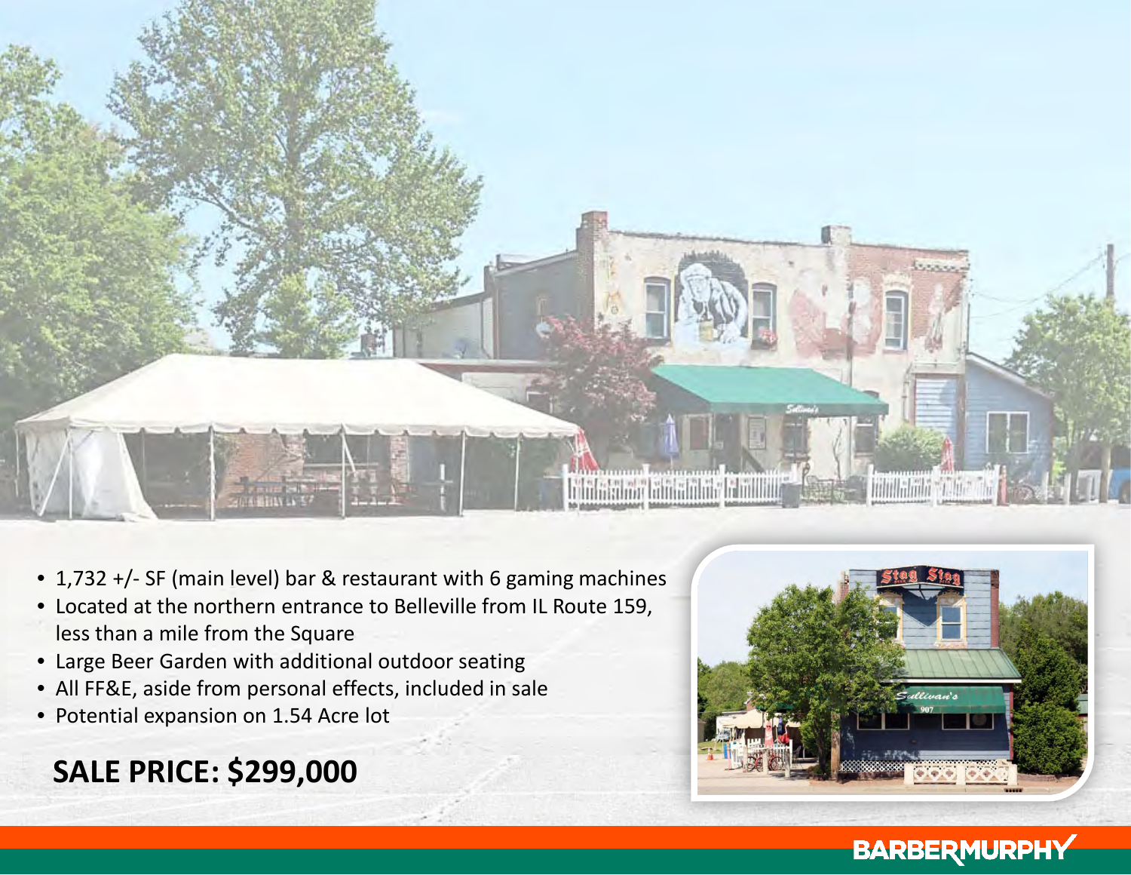

- 1,732 +/- SF (main level) bar & restaurant with 6 gaming machines
- Located at the northern entrance to Belleville from IL Route 159, less than a mile from the Square
- Large Beer Garden with additional outdoor seating
- All FF&E, aside from personal effects, included in sale
- Potential expansion on 1.54 Acre lot

## **SALE PRICE: \$299,000**



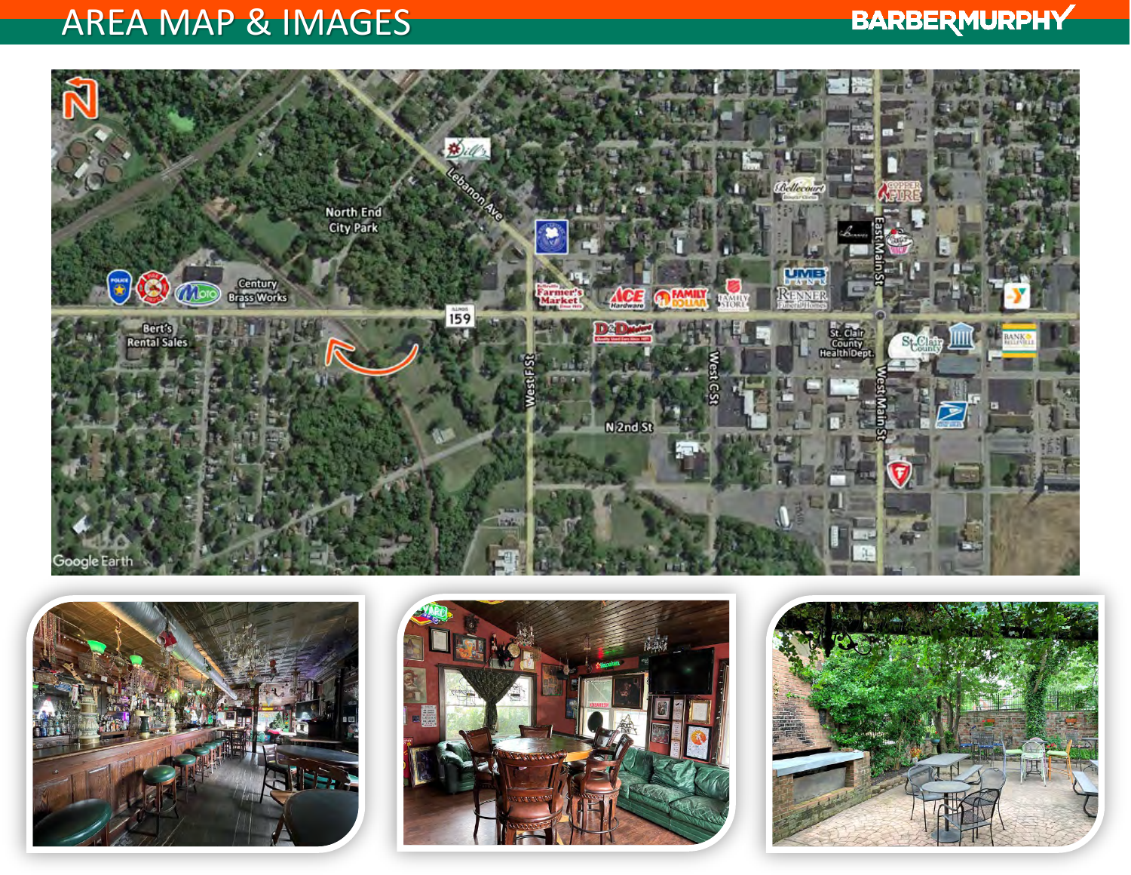## AREA MAP & IMAGES

## **BARBERMURPHY**